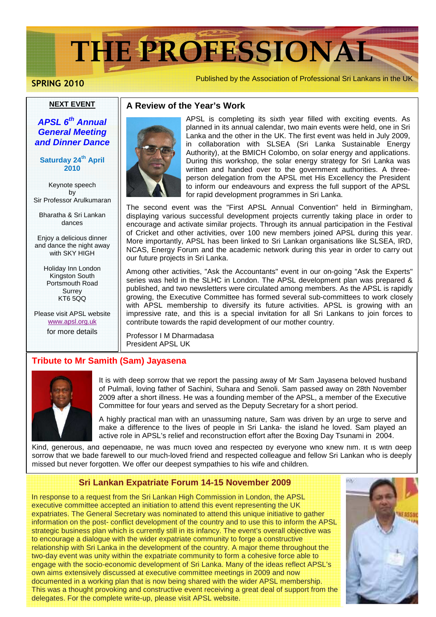# **THE PROFESSIONAL**

**SPRING 2010**

Published by the Association of Professional Sri Lankans in the UK

#### **NEXT EVENT**

### **APSL 6th Annual General Meeting and Dinner Dance**

#### **Saturday 24th April 2010**

Keynote speech by Sir Professor Arulkumaran

Bharatha & Sri Lankan dances

Enjoy a delicious dinner and dance the night away with SKY HIGH

> Holiday Inn London Kingston South Portsmouth Road Surrey KT6 5QQ

Please visit APSL website www.apsl.org.uk

for more details



**A Review of the Year's Work**

APSL is completing its sixth year filled with exciting events. As planned in its annual calendar, two main events were held, one in Sri Lanka and the other in the UK. The first event was held in July 2009, in collaboration with SLSEA (Sri Lanka Sustainable Energy Authority), at the BMICH Colombo, on solar energy and applications. During this workshop, the solar energy strategy for Sri Lanka was written and handed over to the government authorities. A threeperson delegation from the APSL met His Excellency the President to inform our endeavours and express the full support of the APSL for rapid development programmes in Sri Lanka.

The second event was the "First APSL Annual Convention" held in Birmingham, displaying various successful development projects currently taking place in order to encourage and activate similar projects. Through its annual participation in the Festival of Cricket and other activities, over 100 new members joined APSL during this year. More importantly, APSL has been linked to Sri Lankan organisations like SLSEA, IRD, NCAS, Energy Forum and the academic network during this year in order to carry out our future projects in Sri Lanka.

Among other activities, "Ask the Accountants" event in our on-going "Ask the Experts" series was held in the SLHC in London. The APSL development plan was prepared & published, and two newsletters were circulated among members. As the APSL is rapidly growing, the Executive Committee has formed several sub-committees to work closely with APSL membership to diversify its future activities. APSL is growing with an impressive rate, and this is a special invitation for all Sri Lankans to join forces to contribute towards the rapid development of our mother country.

Professor I M Dharmadasa President APSL UK

#### **Tribute to Mr Samith (Sam) Jayasena**



It is with deep sorrow that we report the passing away of Mr Sam Jayasena beloved husband of Pulmali, loving father of Sachini, Suhara and Senoli. Sam passed away on 28th November 2009 after a short illness. He was a founding member of the APSL, a member of the Executive Committee for four years and served as the Deputy Secretary for a short period.

A highly practical man with an unassuming nature, Sam was driven by an urge to serve and make a difference to the lives of people in Sri Lanka- the island he loved. Sam played an active role in APSL's relief and reconstruction effort after the Boxing Day Tsunami in 2004.

Kind, generous, and dependable, he was much loved and respected by everyone who knew him. It is with deep sorrow that we bade farewell to our much-loved friend and respected colleague and fellow Sri Lankan who is deeply missed but never forgotten. We offer our deepest sympathies to his wife and children.

#### **Sri Lankan Expatriate Forum 14-15 November 2009**

In response to a request from the Sri Lankan High Commission in London, the APSL executive committee accepted an initiation to attend this event representing the UK expatriates. The General Secretary was nominated to attend this unique initiative to gather information on the post- conflict development of the country and to use this to inform the APSL strategic business plan which is currently still in its infancy. The event's overall objective was to encourage a dialogue with the wider expatriate community to forge a constructive relationship with Sri Lanka in the development of the country. A major theme throughout the two-day event was unity within the expatriate community to form a cohesive force able to engage with the socio-economic development of Sri Lanka. Many of the ideas reflect APSL's own aims extensively discussed at executive committee meetings in 2009 and now documented in a working plan that is now being shared with the wider APSL membership. This was a thought provoking and constructive event receiving a great deal of support from the delegates. For the complete write-up, please visit APSL website.